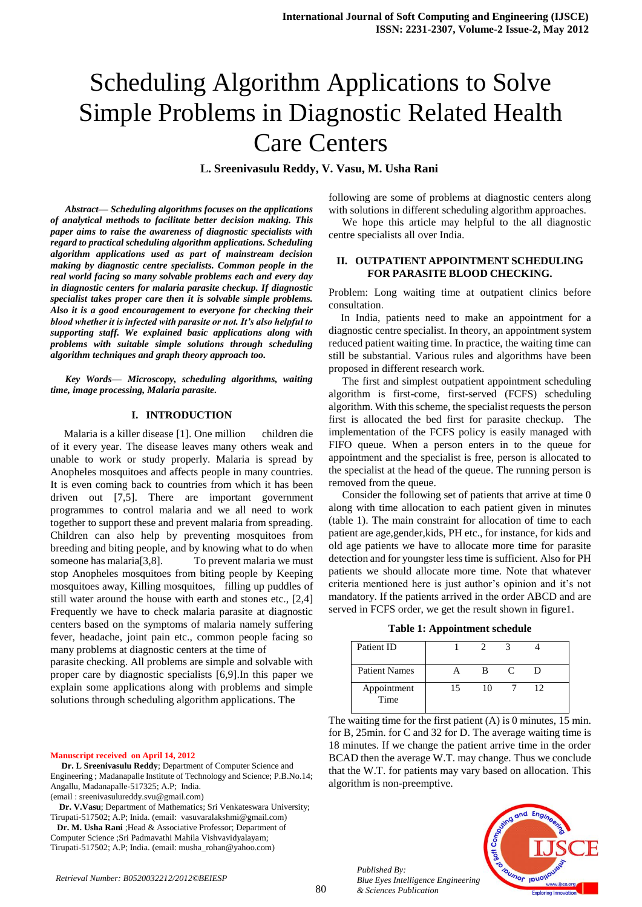# Scheduling Algorithm Applications to Solve Simple Problems in Diagnostic Related Health Care Centers

**L. Sreenivasulu Reddy, V. Vasu, M. Usha Rani**

*Abstract— Scheduling algorithms focuses on the applications of analytical methods to facilitate better decision making. This paper aims to raise the awareness of diagnostic specialists with regard to practical scheduling algorithm applications. Scheduling algorithm applications used as part of mainstream decision making by diagnostic centre specialists. Common people in the real world facing so many solvable problems each and every day in diagnostic centers for malaria parasite checkup. If diagnostic specialist takes proper care then it is solvable simple problems. Also it is a good encouragement to everyone for checking their blood whether it is infected with parasite or not. It's also helpful to supporting staff. We explained basic applications along with problems with suitable simple solutions through scheduling algorithm techniques and graph theory approach too.* 

*Key Words— Microscopy, scheduling algorithms, waiting time, image processing, Malaria parasite.* 

#### **I. INTRODUCTION**

 Malaria is a killer disease [1]. One million children die of it every year. The disease leaves many others weak and unable to work or study properly. Malaria is spread by Anopheles mosquitoes and affects people in many countries. It is even coming back to countries from which it has been driven out [7,5]. There are important government programmes to control malaria and we all need to work together to support these and prevent malaria from spreading. Children can also help by preventing mosquitoes from breeding and biting people, and by knowing what to do when someone has malaria<sup>[3,8]</sup>. To prevent malaria we must stop Anopheles mosquitoes from biting people by Keeping mosquitoes away, Killing mosquitoes, filling up puddles of still water around the house with earth and stones etc., [2,4] Frequently we have to check malaria parasite at diagnostic centers based on the symptoms of malaria namely suffering fever, headache, joint pain etc., common people facing so many problems at diagnostic centers at the time of

parasite checking. All problems are simple and solvable with proper care by diagnostic specialists [6,9].In this paper we explain some applications along with problems and simple solutions through scheduling algorithm applications. The

#### **Manuscript received on April 14, 2012**

 **Dr. L Sreenivasulu Reddy**; Department of Computer Science and Engineering ; Madanapalle Institute of Technology and Science; P.B.No.14; Angallu, Madanapalle-517325; A.P; India.

(email [: sreenivasulureddy.svu@gmail.com\)](mailto:sreenivasulureddy.svu@gmail.com)

 **Dr. V.Vasu**; Department of Mathematics; Sri Venkateswara University; Tirupati-517502; A.P; Inida. (email: vasuvaralakshmi@gmail.com)

 **Dr. M. Usha Rani** ;Head & Associative Professor; Department of Computer Science ;Sri Padmavathi Mahila Vishvavidyalayam; Tirupati-517502; A.P; India. (email: musha\_rohan@yahoo.com)

following are some of problems at diagnostic centers along with solutions in different scheduling algorithm approaches.

 We hope this article may helpful to the all diagnostic centre specialists all over India.

#### **II. OUTPATIENT APPOINTMENT SCHEDULING FOR PARASITE BLOOD CHECKING.**

Problem: Long waiting time at outpatient clinics before consultation.

 In India, patients need to make an appointment for a diagnostic centre specialist. In theory, an appointment system reduced patient waiting time. In practice, the waiting time can still be substantial. Various rules and algorithms have been proposed in different research work.

 The first and simplest outpatient appointment scheduling algorithm is first-come, first-served (FCFS) scheduling algorithm. With this scheme, the specialist requests the person first is allocated the bed first for parasite checkup. The implementation of the FCFS policy is easily managed with FIFO queue. When a person enters in to the queue for appointment and the specialist is free, person is allocated to the specialist at the head of the queue. The running person is removed from the queue.

 Consider the following set of patients that arrive at time 0 along with time allocation to each patient given in minutes (table 1). The main constraint for allocation of time to each patient are age,gender,kids, PH etc., for instance, for kids and old age patients we have to allocate more time for parasite detection and for youngster less time is sufficient. Also for PH patients we should allocate more time. Note that whatever criteria mentioned here is just author's opinion and it's not mandatory. If the patients arrived in the order ABCD and are served in FCFS order, we get the result shown in figure1.

**Table 1: Appointment schedule**

| Patient ID           |    |    |               |    |
|----------------------|----|----|---------------|----|
| <b>Patient Names</b> |    | R  | $\mathcal{C}$ | Ð  |
| Appointment<br>Time  | 15 | 10 |               | 12 |

The waiting time for the first patient (A) is 0 minutes, 15 min. for B, 25min. for C and 32 for D. The average waiting time is 18 minutes. If we change the patient arrive time in the order BCAD then the average W.T. may change. Thus we conclude that the W.T. for patients may vary based on allocation. This algorithm is non-preemptive.

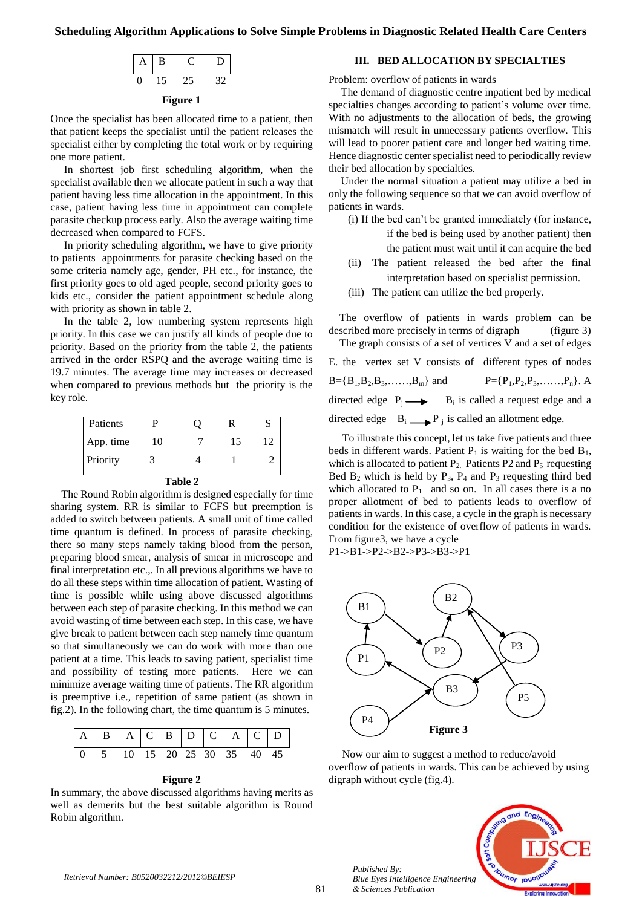# **Scheduling Algorithm Applications to Solve Simple Problems in Diagnostic Related Health Care Centers**



# **Figure 1**

Once the specialist has been allocated time to a patient, then that patient keeps the specialist until the patient releases the specialist either by completing the total work or by requiring one more patient.

 In shortest job first scheduling algorithm, when the specialist available then we allocate patient in such a way that patient having less time allocation in the appointment. In this case, patient having less time in appointment can complete parasite checkup process early. Also the average waiting time decreased when compared to FCFS.

 In priority scheduling algorithm, we have to give priority to patients appointments for parasite checking based on the some criteria namely age, gender, PH etc., for instance, the first priority goes to old aged people, second priority goes to kids etc., consider the patient appointment schedule along with priority as shown in table 2.

 In the table 2, low numbering system represents high priority. In this case we can justify all kinds of people due to priority. Based on the priority from the table 2, the patients arrived in the order RSPQ and the average waiting time is 19.7 minutes. The average time may increases or decreased when compared to previous methods but the priority is the key role.

| Patients  | P  |  | R  |    |  |  |  |  |
|-----------|----|--|----|----|--|--|--|--|
| App. time | 10 |  | 15 | 12 |  |  |  |  |
| Priority  |    |  |    |    |  |  |  |  |
| T 1 1 2   |    |  |    |    |  |  |  |  |

| anı<br>ı |  |
|----------|--|
|----------|--|

 The Round Robin algorithm is designed especially for time sharing system. RR is similar to FCFS but preemption is added to switch between patients. A small unit of time called time quantum is defined. In process of parasite checking, there so many steps namely taking blood from the person, preparing blood smear, analysis of smear in microscope and final interpretation etc.,. In all previous algorithms we have to do all these steps within time allocation of patient. Wasting of time is possible while using above discussed algorithms between each step of parasite checking. In this method we can avoid wasting of time between each step. In this case, we have give break to patient between each step namely time quantum so that simultaneously we can do work with more than one patient at a time. This leads to saving patient, specialist time and possibility of testing more patients. Here we can minimize average waiting time of patients. The RR algorithm is preemptive i.e., repetition of same patient (as shown in fig.2). In the following chart, the time quantum is 5 minutes.



## **Figure 2**

In summary, the above discussed algorithms having merits as well as demerits but the best suitable algorithm is Round Robin algorithm.

# **III. BED ALLOCATION BY SPECIALTIES**

Problem: overflow of patients in wards

 The demand of diagnostic centre inpatient bed by medical specialties changes according to patient's volume over time. With no adjustments to the allocation of beds, the growing mismatch will result in unnecessary patients overflow. This will lead to poorer patient care and longer bed waiting time. Hence diagnostic center specialist need to periodically review their bed allocation by specialties.

 Under the normal situation a patient may utilize a bed in only the following sequence so that we can avoid overflow of patients in wards.

- (i) If the bed can't be granted immediately (for instance, if the bed is being used by another patient) then the patient must wait until it can acquire the bed
- (ii) The patient released the bed after the final interpretation based on specialist permission.
- (iii) The patient can utilize the bed properly.

 The overflow of patients in wards problem can be described more precisely in terms of digraph (figure 3) The graph consists of a set of vertices V and a set of edges E. the vertex set V consists of different types of nodes  $B = {B_1, B_2, B_3, \ldots, B_m}$  and  $P = {P_1, P_2, P_3, \ldots, P_n}$ . A directed edge  $P_j \longrightarrow B_i$  is called a request edge and a

directed edge  $B_i \longrightarrow P_j$  is called an allotment edge.

 To illustrate this concept, let us take five patients and three beds in different wards. Patient  $P_1$  is waiting for the bed  $B_1$ , which is allocated to patient  $P_2$ . Patients P2 and  $P_5$  requesting Bed  $B_2$  which is held by  $P_3$ ,  $P_4$  and  $P_3$  requesting third bed which allocated to  $P_1$  and so on. In all cases there is a no proper allotment of bed to patients leads to overflow of patients in wards. In this case, a cycle in the graph is necessary condition for the existence of overflow of patients in wards. From figure3, we have a cycle

P1->B1->P2->B2->P3->B3->P1



 Now our aim to suggest a method to reduce/avoid overflow of patients in wards. This can be achieved by using digraph without cycle (fig.4).



*Published By:*

*& Sciences Publication*